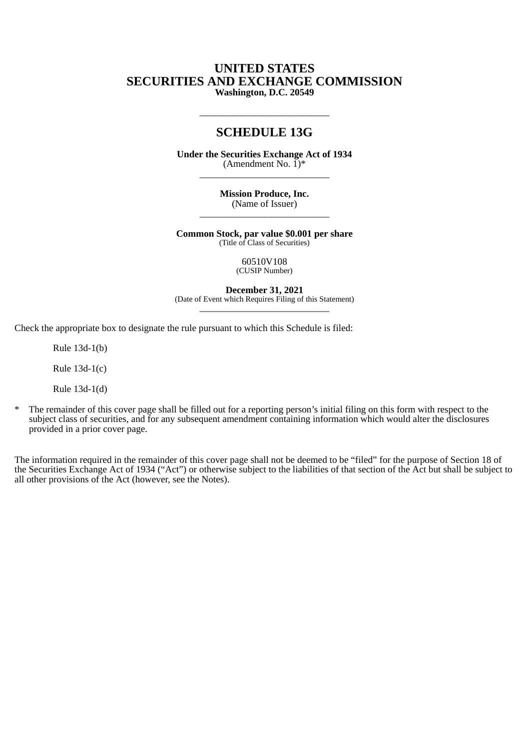# **UNITED STATES SECURITIES AND EXCHANGE COMMISSION Washington, D.C. 20549**

# **SCHEDULE 13G**

\_\_\_\_\_\_\_\_\_\_\_\_\_\_\_\_\_\_\_\_\_\_\_\_\_\_\_

**Under the Securities Exchange Act of 1934** (Amendment No.  $\check{1})^*$  $\frac{1}{2}$  ,  $\frac{1}{2}$  ,  $\frac{1}{2}$  ,  $\frac{1}{2}$  ,  $\frac{1}{2}$  ,  $\frac{1}{2}$  ,  $\frac{1}{2}$  ,  $\frac{1}{2}$  ,  $\frac{1}{2}$  ,  $\frac{1}{2}$  ,  $\frac{1}{2}$  ,  $\frac{1}{2}$  ,  $\frac{1}{2}$  ,  $\frac{1}{2}$  ,  $\frac{1}{2}$  ,  $\frac{1}{2}$  ,  $\frac{1}{2}$  ,  $\frac{1}{2}$  ,  $\frac{1$ 

> **Mission Produce, Inc.** (Name of Issuer)  $\frac{1}{2}$  ,  $\frac{1}{2}$  ,  $\frac{1}{2}$  ,  $\frac{1}{2}$  ,  $\frac{1}{2}$  ,  $\frac{1}{2}$  ,  $\frac{1}{2}$  ,  $\frac{1}{2}$  ,  $\frac{1}{2}$  ,  $\frac{1}{2}$  ,  $\frac{1}{2}$  ,  $\frac{1}{2}$  ,  $\frac{1}{2}$  ,  $\frac{1}{2}$  ,  $\frac{1}{2}$  ,  $\frac{1}{2}$  ,  $\frac{1}{2}$  ,  $\frac{1}{2}$  ,  $\frac{1$

**Common Stock, par value \$0.001 per share** (Title of Class of Securities)

> 60510V108 (CUSIP Number)

**December 31, 2021** (Date of Event which Requires Filing of this Statement) \_\_\_\_\_\_\_\_\_\_\_\_\_\_\_\_\_\_\_\_\_\_\_\_\_\_\_

Check the appropriate box to designate the rule pursuant to which this Schedule is filed:

Rule 13d-1(b)

Rule 13d-1(c)

Rule 13d-1(d)

\* The remainder of this cover page shall be filled out for a reporting person's initial filing on this form with respect to the subject class of securities, and for any subsequent amendment containing information which would alter the disclosures provided in a prior cover page.

The information required in the remainder of this cover page shall not be deemed to be "filed" for the purpose of Section 18 of the Securities Exchange Act of 1934 ("Act") or otherwise subject to the liabilities of that section of the Act but shall be subject to all other provisions of the Act (however, see the Notes).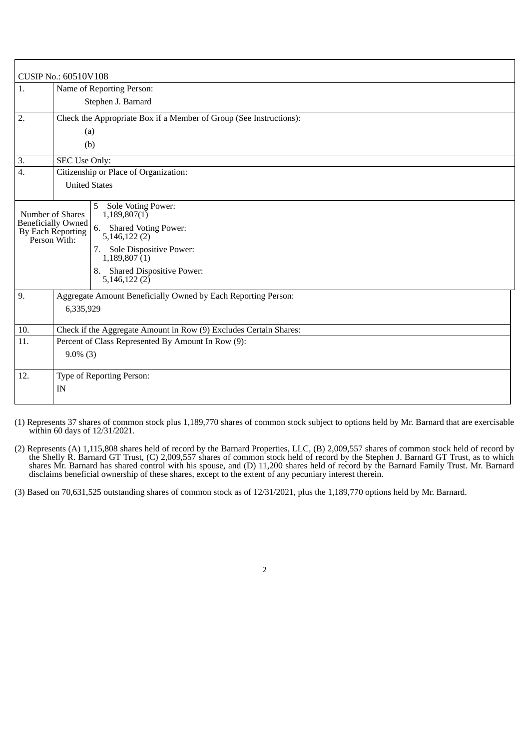|                                                                                    | CUSIP No.: 60510V108                                                                                                                                                                              |  |
|------------------------------------------------------------------------------------|---------------------------------------------------------------------------------------------------------------------------------------------------------------------------------------------------|--|
| 1.                                                                                 | Name of Reporting Person:                                                                                                                                                                         |  |
|                                                                                    | Stephen J. Barnard                                                                                                                                                                                |  |
| 2.                                                                                 | Check the Appropriate Box if a Member of Group (See Instructions):                                                                                                                                |  |
|                                                                                    | (a)                                                                                                                                                                                               |  |
|                                                                                    | (b)                                                                                                                                                                                               |  |
| 3.                                                                                 | SEC Use Only:                                                                                                                                                                                     |  |
| 4.                                                                                 | Citizenship or Place of Organization:                                                                                                                                                             |  |
|                                                                                    | <b>United States</b>                                                                                                                                                                              |  |
| Number of Shares<br><b>Beneficially Owned</b><br>By Each Reporting<br>Person With: | <b>Sole Voting Power:</b><br>5<br>1,189,807(1)<br>6.<br><b>Shared Voting Power:</b><br>5,146,122(2)<br>7. Sole Dispositive Power:<br>1,189,807(1)<br>8. Shared Dispositive Power:<br>5,146,122(2) |  |
| 9.                                                                                 | Aggregate Amount Beneficially Owned by Each Reporting Person:<br>6,335,929                                                                                                                        |  |
| 10.                                                                                | Check if the Aggregate Amount in Row (9) Excludes Certain Shares:                                                                                                                                 |  |
| 11.                                                                                | Percent of Class Represented By Amount In Row (9):                                                                                                                                                |  |
|                                                                                    | $9.0\%$ (3)                                                                                                                                                                                       |  |
| 12.                                                                                | Type of Reporting Person:                                                                                                                                                                         |  |
|                                                                                    | IN                                                                                                                                                                                                |  |
|                                                                                    |                                                                                                                                                                                                   |  |

(1) Represents 37 shares of common stock plus 1,189,770 shares of common stock subject to options held by Mr. Barnard that are exercisable within 60 days of 12/31/2021.

(2) Represents (A) 1,115,808 shares held of record by the Barnard Properties, LLC, (B) 2,009,557 shares of common stock held of record by the Shelly R. Barnard GT Trust, (C) 2,009,557 shares of common stock held of record by the Stephen J. Barnard GT Trust, as to which shares Mr. Barnard has shared control with his spouse, and (D) 11,200 shares held of record by the Barnard Family Trust. Mr. Barnard disclaims beneficial ownership of these shares, except to the extent of any pecuniary interest therein.

(3) Based on 70,631,525 outstanding shares of common stock as of 12/31/2021, plus the 1,189,770 options held by Mr. Barnard.

2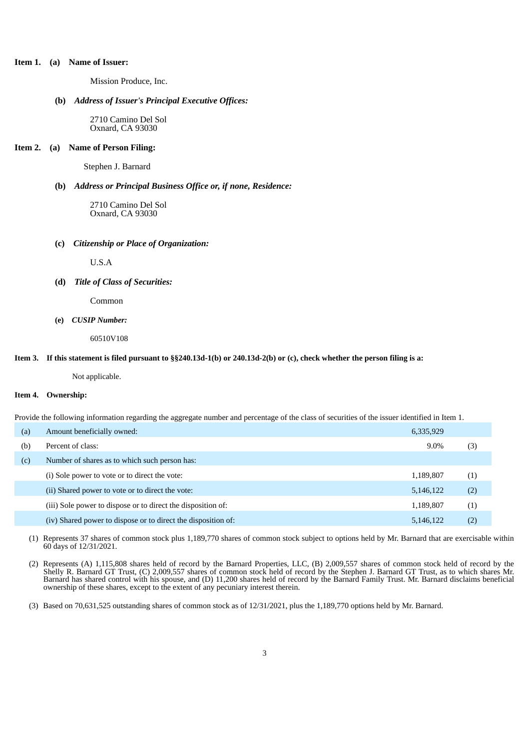## **Item 1. (a) Name of Issuer:**

Mission Produce, Inc.

#### **(b)** *Address of Issuer's Principal Executive Offices:*

2710 Camino Del Sol Oxnard, CA 93030

#### **Item 2. (a) Name of Person Filing:**

Stephen J. Barnard

## **(b)** *Address or Principal Business Office or, if none, Residence:*

2710 Camino Del Sol Oxnard, CA 93030

#### **(c)** *Citizenship or Place of Organization:*

U.S.A

### **(d)** *Title of Class of Securities:*

Common

## **(e)** *CUSIP Number:*

60510V108

#### Item 3. If this statement is filed pursuant to §§240.13d-1(b) or 240.13d-2(b) or (c), check whether the person filing is a:

Not applicable.

## **Item 4. Ownership:**

Provide the following information regarding the aggregate number and percentage of the class of securities of the issuer identified in Item 1.

| (a) | Amount beneficially owned:                                    | 6,335,929 |     |
|-----|---------------------------------------------------------------|-----------|-----|
| (b) | Percent of class:                                             | $9.0\%$   | (3) |
| (c) | Number of shares as to which such person has:                 |           |     |
|     | (i) Sole power to vote or to direct the vote:                 | 1,189,807 | (1) |
|     | (ii) Shared power to vote or to direct the vote:              | 5,146,122 | (2) |
|     | (iii) Sole power to dispose or to direct the disposition of:  | 1,189,807 | (1) |
|     | (iv) Shared power to dispose or to direct the disposition of: | 5,146,122 | (2) |
|     |                                                               |           |     |

(1) Represents 37 shares of common stock plus 1,189,770 shares of common stock subject to options held by Mr. Barnard that are exercisable within 60 days of 12/31/2021.

(2) Represents (A) 1,115,808 shares held of record by the Barnard Properties, LLC, (B) 2,009,557 shares of common stock held of record by the Shelly R. Barnard GT Trust, (C) 2,009,557 shares of common stock held of record by the Stephen J. Barnard GT Trust, as to which shares Mr. Barnard has shared control with his spouse, and (D) 11,200 shares held of record by the Barnard Family Trust. Mr. Barnard disclaims beneficial ownership of these shares, except to the extent of any pecuniary interest therein.

(3) Based on 70,631,525 outstanding shares of common stock as of 12/31/2021, plus the 1,189,770 options held by Mr. Barnard.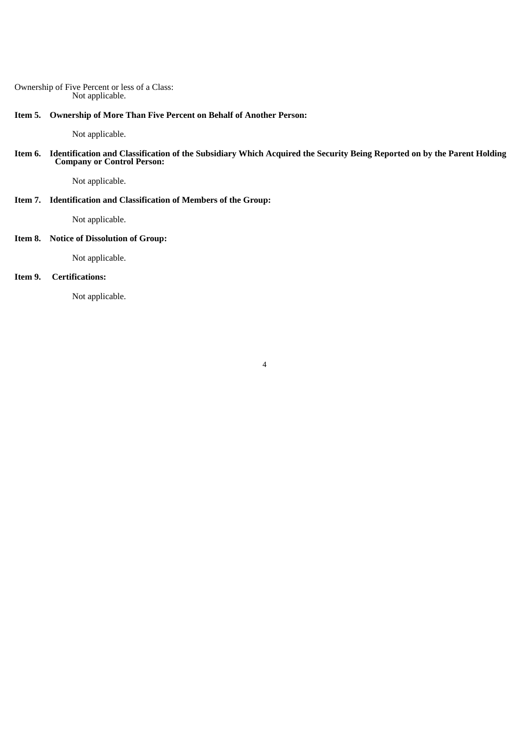## Ownership of Five Percent or less of a Class: Not applicable.

**Item 5. Ownership of More Than Five Percent on Behalf of Another Person:**

Not applicable.

Item 6. Identification and Classification of the Subsidiary Which Acquired the Security Being Reported on by the Parent Holding **Company or Control Person:**

Not applicable.

# **Item 7. Identification and Classification of Members of the Group:**

Not applicable.

## **Item 8. Notice of Dissolution of Group:**

Not applicable.

## **Item 9. Certifications:**

Not applicable.